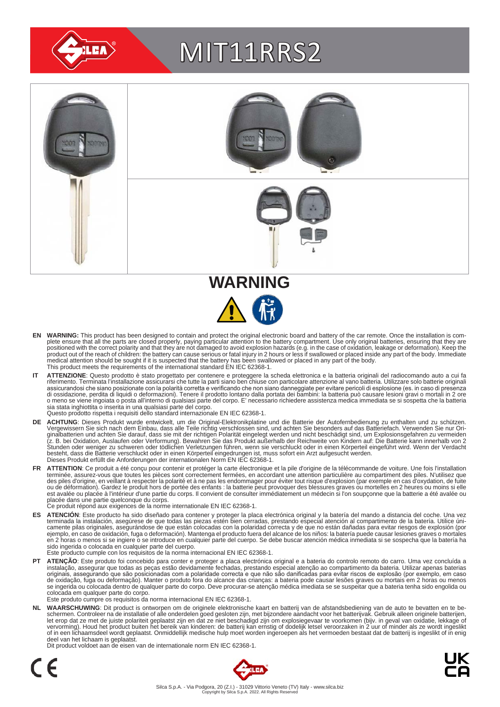

# MIT11RRS2



- EN WARNING: This product has been designed to contain and protect the original electronic board and battery of the car remote. Once the installation is com-<br>plete ensure that all the parts are closed properly, paying parti positioned with the correct polarity and that they are not damaged to avoid explosion hazards (e.g. in the case of oxidation, leakage or deformation). Keep the<br>product out of the reach of children: the battery can cause se medical attention should be sought if it is suspected that the battery has been swallowed or placed in any part of the body. This product meets the requirements of the international standard EN IEC 62368-1.
- IT ATTENZIONE: Questo prodotto è stato progettato per contenere e proteggere la scheda elettronica e la batteria originali del radiocomando auto a cui fa<br>riferimento. Terminata l'installazione assicurarsi che tutte la part assicurandosi che siano posizionate con la polarità corretta e verificando che non siano danneggiate per evitare pericoli di esplosione (es. in caso di presenza<br>di ossidazione, perdita di liquidi o deformazioni). Tenere il sia stata inghiottita o inserita in una qualsiasi parte del corpo. Questo prodotto rispetta i requisiti dello standard internazionale EN IEC 62368-1.
- **DE ACHTUNG**: Dieses Produkt wurde entwickelt, um die Original-Elektronikplatine und die Batterie der Autofernbedienung zu enthalten und zu schützen.<br>Vergewissern Sie sich nach dem Einbau, dass alle Teile richtig verschlos besteht, dass die Batterie verschluckt oder in einen Körperteil eingedrungen ist, muss sofort ein Arzt aufgesucht werden.<br>Dieses Produkt erfüllt die Anforderungen der internationalen Norm EN IEC 62368-1.
- FR ATTENTION: Ce produit a été conçu pour contenir et protéger la carte électronique et la pile d'origine de la télécommande de voiture. Une fois l'installation terminée, assurez-vous que toutes les pièces sont correctement fermées, en accordant une attention particulière au compartiment des piles. N'utilisez que<br>des piles d'origine, en veillant à respecter la polarité et à ne pas est avalée ou placée à l'intérieur d'une partie du corps. Il convient de consulter immédiatement un médecin si l'on soupçonne que la batterie a été avalée ou<br>placée dans une partie quelconque du corps.<br>Ce produit répond au
	-
- ES ATENCION: Este producto ha sido diseñado para contener y proteger la placa electrónica original y la batería del mando a distancia del coche. Una vez<br>-terminada la instalación, asegúrese de que todas las piezas estén bi camente pilas originales, asegurándose de que están colocadas con la polaridad correcta y de que no están dañadas para evitar riesgos de explosión (por<br>ejemplo, en caso de oxidación, fuga o deformación). Mantenga el produc sido ingerida o colocada en cualquier parte del cuerpo.
- Este producto cumple con los requisitos de la norma internacional EN IEC 62368-1.
- **PT ATENÇAO**: Este produto foi concebido para conter e proteger a placa electrónica original e a bateria do controlo remoto do carro. Uma vez concluída a instalação, assegurar que todas as peças estão devidamente fechadas, colocada em qualquer parte do corpo. Este produto cumpre os requisitos da norma internacional EN IEC 62368-1.

NL WAARSCHUWING: Dit product is ontworpen om de originele elektronische kaart en batterij van de afstandsbediening van de auto te bevatten en te be-<br>schermen. Controleer na de installatie of alle onderdelen goed gesloten z of in een lichaamsdeel wordt geplaatst. Onmiddellijk medische hulp moet worden ingeroepen als het vermoeden bestaat dat de batterij is ingeslikt of in enig deel van het lichaam is geplaatst.

Dit product voldoet aan de eisen van de internationale norm EN IEC 62368-1.